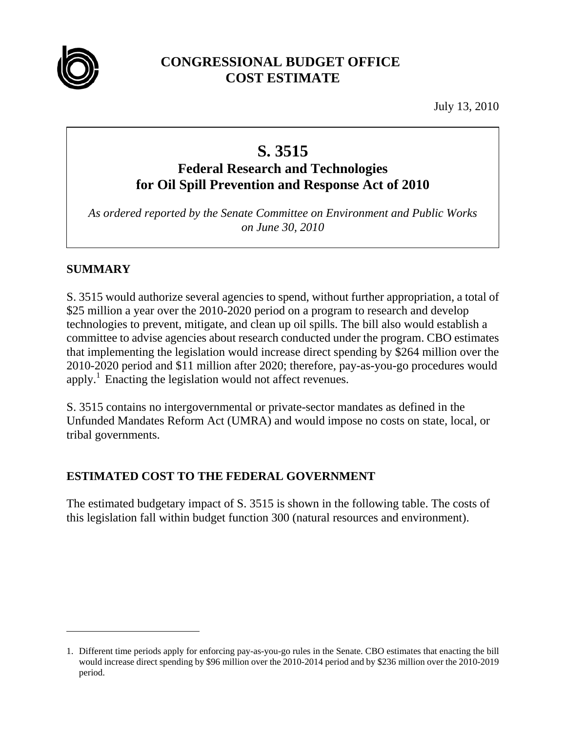

## **CONGRESSIONAL BUDGET OFFICE COST ESTIMATE**

July 13, 2010

# **S. 3515**

## **Federal Research and Technologies for Oil Spill Prevention and Response Act of 2010**

*As ordered reported by the Senate Committee on Environment and Public Works on June 30, 2010* 

## **SUMMARY**

 $\overline{a}$ 

S. 3515 would authorize several agencies to spend, without further appropriation, a total of \$25 million a year over the 2010-2020 period on a program to research and develop technologies to prevent, mitigate, and clean up oil spills. The bill also would establish a committee to advise agencies about research conducted under the program. CBO estimates that implementing the legislation would increase direct spending by \$264 million over the 2010-2020 period and \$11 million after 2020; therefore, pay-as-you-go procedures would apply.<sup>1</sup> Enacting the legislation would not affect revenues.

S. 3515 contains no intergovernmental or private-sector mandates as defined in the Unfunded Mandates Reform Act (UMRA) and would impose no costs on state, local, or tribal governments.

### **ESTIMATED COST TO THE FEDERAL GOVERNMENT**

The estimated budgetary impact of S. 3515 is shown in the following table. The costs of this legislation fall within budget function 300 (natural resources and environment).

<sup>1.</sup> Different time periods apply for enforcing pay-as-you-go rules in the Senate. CBO estimates that enacting the bill would increase direct spending by \$96 million over the 2010-2014 period and by \$236 million over the 2010-2019 period.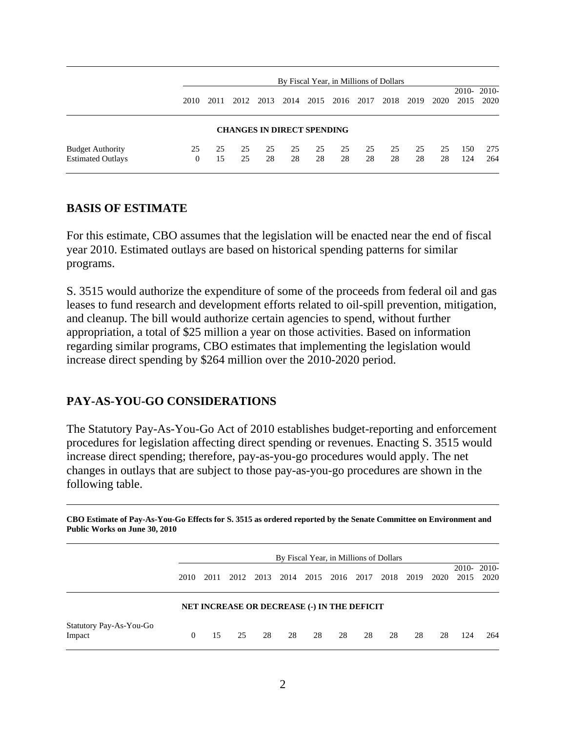|                                                     | By Fiscal Year, in Millions of Dollars |          |          |          |          |                                   |          |          |          |          |          |            |                         |
|-----------------------------------------------------|----------------------------------------|----------|----------|----------|----------|-----------------------------------|----------|----------|----------|----------|----------|------------|-------------------------|
|                                                     | 2010                                   | 2011     | 2012     | 2013     | 2014     | 2015                              | 2016     | 2017     | 2018     | 2019     | 2020     | 2015       | $2010 - 2010 -$<br>2020 |
|                                                     |                                        |          |          |          |          | <b>CHANGES IN DIRECT SPENDING</b> |          |          |          |          |          |            |                         |
| <b>Budget Authority</b><br><b>Estimated Outlays</b> | 25<br>0                                | 25<br>15 | 25<br>25 | 25<br>28 | 25<br>28 | 25<br>28                          | 25<br>28 | 25<br>28 | 25<br>28 | 25<br>28 | 25<br>28 | 150<br>124 | 275<br>264              |

#### **BASIS OF ESTIMATE**

For this estimate, CBO assumes that the legislation will be enacted near the end of fiscal year 2010. Estimated outlays are based on historical spending patterns for similar programs.

S. 3515 would authorize the expenditure of some of the proceeds from federal oil and gas leases to fund research and development efforts related to oil-spill prevention, mitigation, and cleanup. The bill would authorize certain agencies to spend, without further appropriation, a total of \$25 million a year on those activities. Based on information regarding similar programs, CBO estimates that implementing the legislation would increase direct spending by \$264 million over the 2010-2020 period.

#### **PAY-AS-YOU-GO CONSIDERATIONS**

The Statutory Pay-As-You-Go Act of 2010 establishes budget-reporting and enforcement procedures for legislation affecting direct spending or revenues. Enacting S. 3515 would increase direct spending; therefore, pay-as-you-go procedures would apply. The net changes in outlays that are subject to those pay-as-you-go procedures are shown in the following table.

| Public Works on June 30, 2010     |                                        |      |      |      |                                                    |      |      |      |      |      |      |      |                    |
|-----------------------------------|----------------------------------------|------|------|------|----------------------------------------------------|------|------|------|------|------|------|------|--------------------|
|                                   | By Fiscal Year, in Millions of Dollars |      |      |      |                                                    |      |      |      |      |      |      |      |                    |
|                                   | 2010                                   | 2011 | 2012 | 2013 | 2014                                               | 2015 | 2016 | 2017 | 2018 | 2019 | 2020 | 2015 | 2010-2010-<br>2020 |
|                                   |                                        |      |      |      | <b>NET INCREASE OR DECREASE (-) IN THE DEFICIT</b> |      |      |      |      |      |      |      |                    |
| Statutory Pay-As-You-Go<br>Impact | $\Omega$                               | 15   | 25   | 28   | 28                                                 | 28   | 28   | 28   | 28   | 28   | 28   | 124  | 264                |

**CBO Estimate of Pay-As-You-Go Effects for S. 3515 as ordered reported by the Senate Committee on Environment and Public Works on June 30, 2010**